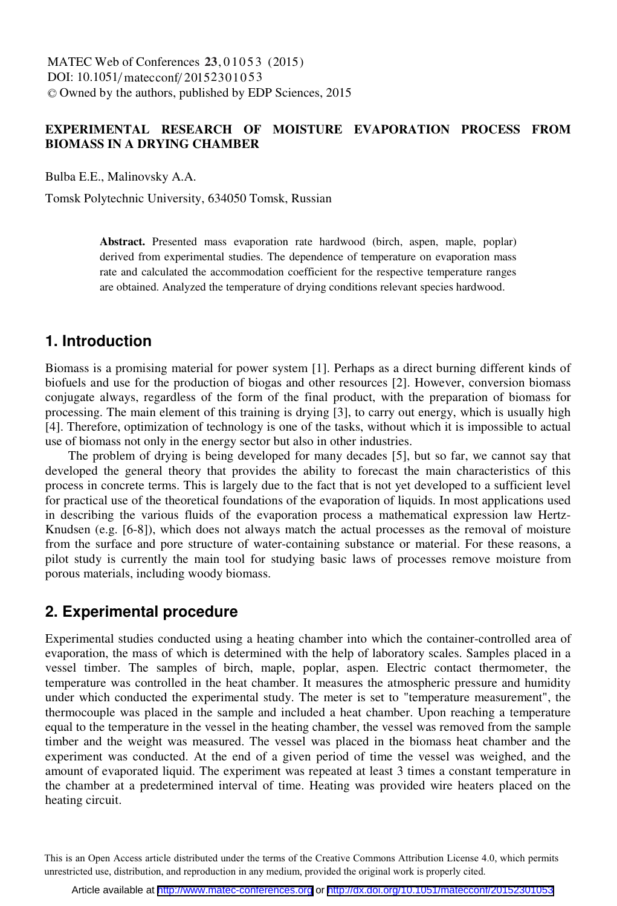### **EXPERIMENTAL RESEARCH OF MOISTURE EVAPORATION PROCESS FROM BIOMASS IN A DRYING CHAMBER**

Bulba E.E., Malinovsky A.A.

Tomsk Polytechnic University, 634050 Tomsk, Russian

**Abstract.** Presented mass evaporation rate hardwood (birch, aspen, maple, poplar) derived from experimental studies. The dependence of temperature on evaporation mass rate and calculated the accommodation coefficient for the respective temperature ranges are obtained. Analyzed the temperature of drying conditions relevant species hardwood.

### **1. Introduction**

Biomass is a promising material for power system [1]. Perhaps as a direct burning different kinds of biofuels and use for the production of biogas and other resources [2]. However, conversion biomass conjugate always, regardless of the form of the final product, with the preparation of biomass for processing. The main element of this training is drying [3], to carry out energy, which is usually high [4]. Therefore, optimization of technology is one of the tasks, without which it is impossible to actual use of biomass not only in the energy sector but also in other industries.

The problem of drying is being developed for many decades [5], but so far, we cannot say that developed the general theory that provides the ability to forecast the main characteristics of this process in concrete terms. This is largely due to the fact that is not yet developed to a sufficient level for practical use of the theoretical foundations of the evaporation of liquids. In most applications used in describing the various fluids of the evaporation process a mathematical expression law Hertz-Knudsen (e.g. [6-8]), which does not always match the actual processes as the removal of moisture from the surface and pore structure of water-containing substance or material. For these reasons, a pilot study is currently the main tool for studying basic laws of processes remove moisture from porous materials, including woody biomass.

## **2. Experimental procedure**

Experimental studies conducted using a heating chamber into which the container-controlled area of evaporation, the mass of which is determined with the help of laboratory scales. Samples placed in a vessel timber. The samples of birch, maple, poplar, aspen. Electric contact thermometer, the temperature was controlled in the heat chamber. It measures the atmospheric pressure and humidity under which conducted the experimental study. The meter is set to "temperature measurement", the thermocouple was placed in the sample and included a heat chamber. Upon reaching a temperature equal to the temperature in the vessel in the heating chamber, the vessel was removed from the sample timber and the weight was measured. The vessel was placed in the biomass heat chamber and the experiment was conducted. At the end of a given period of time the vessel was weighed, and the amount of evaporated liquid. The experiment was repeated at least 3 times a constant temperature in the chamber at a predetermined interval of time. Heating was provided wire heaters placed on the heating circuit.

This is an Open Access article distributed under the terms of the Creative Commons Attribution License 4.0, which permits unrestricted use, distribution, and reproduction in any medium, provided the original work is properly cited.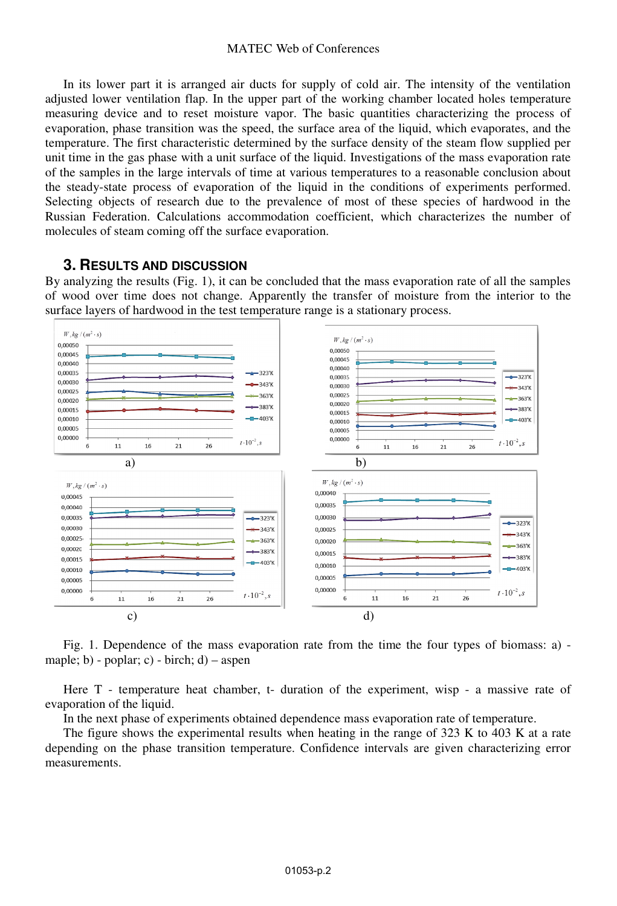#### MATEC Web of Conferences

In its lower part it is arranged air ducts for supply of cold air. The intensity of the ventilation adjusted lower ventilation flap. In the upper part of the working chamber located holes temperature measuring device and to reset moisture vapor. The basic quantities characterizing the process of evaporation, phase transition was the speed, the surface area of the liquid, which evaporates, and the temperature. The first characteristic determined by the surface density of the steam flow supplied per unit time in the gas phase with a unit surface of the liquid. Investigations of the mass evaporation rate of the samples in the large intervals of time at various temperatures to a reasonable conclusion about the steady-state process of evaporation of the liquid in the conditions of experiments performed. Selecting objects of research due to the prevalence of most of these species of hardwood in the Russian Federation. Calculations accommodation coefficient, which characterizes the number of molecules of steam coming off the surface evaporation.

#### **3. RESULTS AND DISCUSSION**

By analyzing the results (Fig. 1), it can be concluded that the mass evaporation rate of all the samples of wood over time does not change. Apparently the transfer of moisture from the interior to the surface layers of hardwood in the test temperature range is a stationary process.



Fig. 1. Dependence of the mass evaporation rate from the time the four types of biomass: a) maple; b) - poplar; c) - birch; d) – aspen

Here T - temperature heat chamber, t- duration of the experiment, wisp - a massive rate of evaporation of the liquid.

In the next phase of experiments obtained dependence mass evaporation rate of temperature.

The figure shows the experimental results when heating in the range of 323 K to 403 K at a rate depending on the phase transition temperature. Confidence intervals are given characterizing error measurements.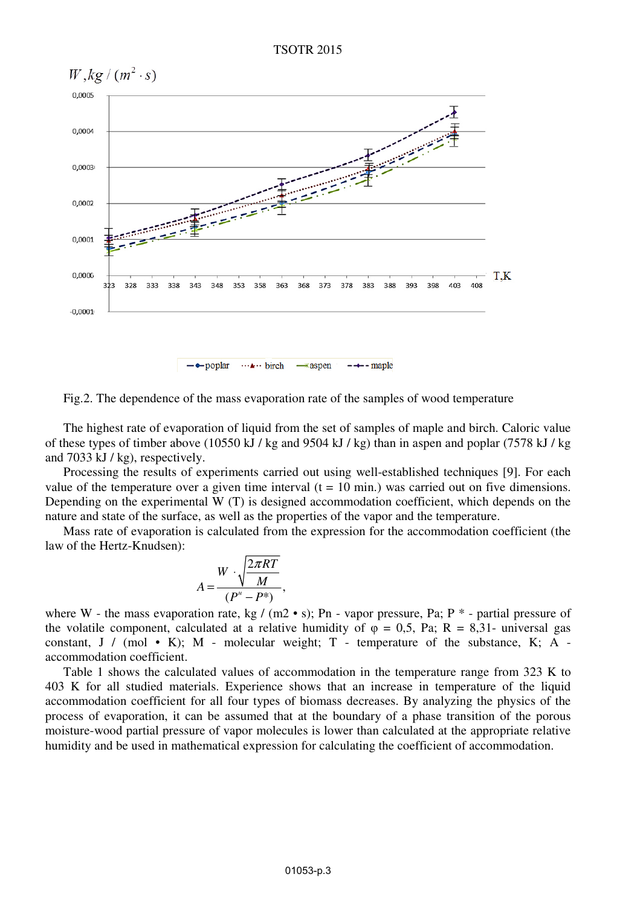

Fig.2. The dependence of the mass evaporation rate of the samples of wood temperature

The highest rate of evaporation of liquid from the set of samples of maple and birch. Caloric value of these types of timber above (10550 kJ / kg and 9504 kJ / kg) than in aspen and poplar (7578 kJ / kg and 7033 kJ / kg), respectively.

Processing the results of experiments carried out using well-established techniques [9]. For each value of the temperature over a given time interval  $(t = 10 \text{ min.})$  was carried out on five dimensions. Depending on the experimental W (T) is designed accommodation coefficient, which depends on the nature and state of the surface, as well as the properties of the vapor and the temperature.

Mass rate of evaporation is calculated from the expression for the accommodation coefficient (the law of the Hertz-Knudsen):

$$
A = \frac{W \cdot \sqrt{\frac{2\pi RT}{M}}}{(P'' - P^*)},
$$

where W - the mass evaporation rate, kg /  $(m2 \cdot s)$ ; Pn - vapor pressure, Pa; P  $*$  - partial pressure of the volatile component, calculated at a relative humidity of  $\varphi = 0.5$ , Pa; R = 8,31- universal gas constant, J / (mol • K); M - molecular weight; T - temperature of the substance, K; A accommodation coefficient.

Table 1 shows the calculated values of accommodation in the temperature range from 323 K to 403 K for all studied materials. Experience shows that an increase in temperature of the liquid accommodation coefficient for all four types of biomass decreases. By analyzing the physics of the process of evaporation, it can be assumed that at the boundary of a phase transition of the porous moisture-wood partial pressure of vapor molecules is lower than calculated at the appropriate relative humidity and be used in mathematical expression for calculating the coefficient of accommodation.